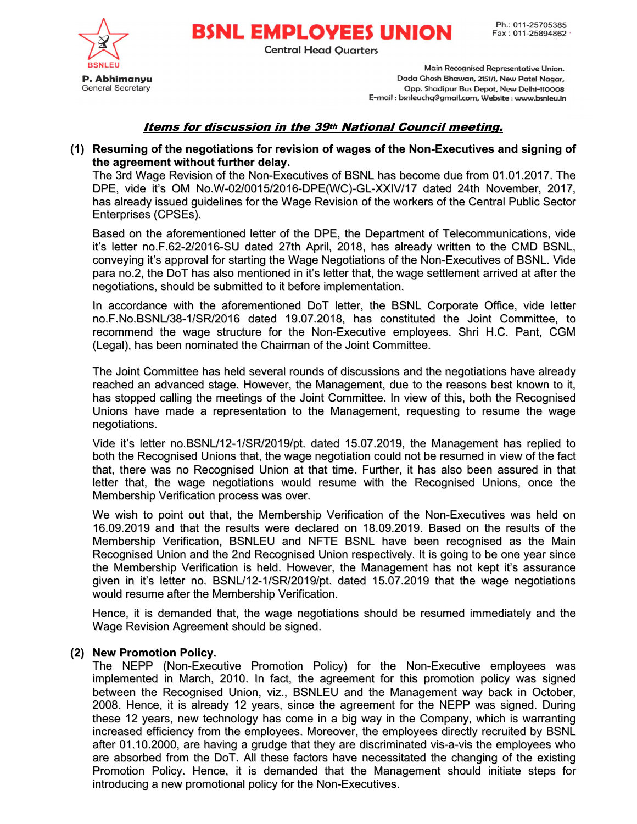Ph.: 011-25705385 Fax: 011-25894862

**BSNL EMPLOYEES UNION Central Head Quarters** 

> Main Recognised Representative Union. Dada Ghosh Bhawan, 2151/1, New Patel Nagar, Opp. Shadipur Bus Depot, New Delhi-110008 E-mail : bsnleuchq@gmail.com, Website : www.bsnleu.in

# Items for discussion in the 39th National Council meeting.

## (1) Resuming of the negotiations for revision of wages of the Non-Executives and signing of the agreement without further delay.

The 3rd Wage Revision of the Non-Executives of BSNL has become due from 01.01.2017. The DPE, vide it's OM No.W-02/0015/2016-DPE(WC)-GL-XXIV/17 dated 24th November, 2017, has already issued guidelines for the Wage Revision of the workers of the Central Public Sector Enterprises (CPSEs).

Based on the aforementioned letter of the DPE, the Department of Telecommunications, vide it's letter no.F.62-2/2016-SU dated 27th April, 2018, has already written to the CMD BSNL, conveying it's approval for starting the Wage Negotiations of the Non-Executives of BSNL. Vide para no.2, the DoT has also mentioned in it's letter that, the wage settlement arrived at after the negotiations, should be submitted to it before implementation.

In accordance with the aforementioned DoT letter, the BSNL Corporate Office, vide letter no.F.No.BSNL/38-1/SR/2016 dated 19.07.2018, has constituted the Joint Committee, to recommend the wage structure for the Non-Executive employees. Shri H.C. Pant, CGM (Legal), has been nominated the Chairman of the Joint Committee.

The Joint Committee has held several rounds of discussions and the negotiations have already reached an advanced stage. However, the Management, due to the reasons best known to it, has stopped calling the meetings of the Joint Committee. In view of this, both the Recognised Unions have made a representation to the Management, requesting to resume the wage negotiations.

Vide it's letter no.BSNL/12-1/SR/2019/pt. dated 15.07.2019, the Management has replied to both the Recognised Unions that, the wage negotiation could not be resumed in view of the fact that, there was no Recognised Union at that time. Further, it has also been assured in that letter that, the wage negotiations would resume with the Recognised Unions, once the Membership Verification process was over.

We wish to point out that, the Membership Verification of the Non-Executives was held on 16.09.2019 and that the results were declared on 18.09.2019. Based on the results of the Membership Verification, BSNLEU and NFTE BSNL have been recognised as the Main Recognised Union and the 2nd Recognised Union respectively. It is going to be one year since the Membership Verification is held. However, the Management has not kept it's assurance given in it's letter no. BSNL/12-1/SR/2019/pt. dated 15.07.2019 that the wage negotiations would resume after the Membership Verification.

Hence, it is demanded that, the wage negotiations should be resumed immediately and the Wage Revision Agreement should be signed.

## (2) New Promotion Policy.

The NEPP (Non-Executive Promotion Policy) for the Non-Executive employees was implemented in March, 2010. In fact, the agreement for this promotion policy was signed between the Recognised Union, viz., BSNLEU and the Management way back in October, 2008. Hence, it is already 12 years, since the agreement for the NEPP was signed. During these 12 years, new technology has come in a big way in the Company, which is warranting increased efficiency from the employees. Moreover, the employees directly recruited by BSNL after 01.10.2000, are having a grudge that they are discriminated vis-a-vis the employees who are absorbed from the DoT. All these factors have necessitated the changing of the existing Promotion Policy. Hence, it is demanded that the Management should initiate steps for introducing a new promotional policy for the Non-Executives.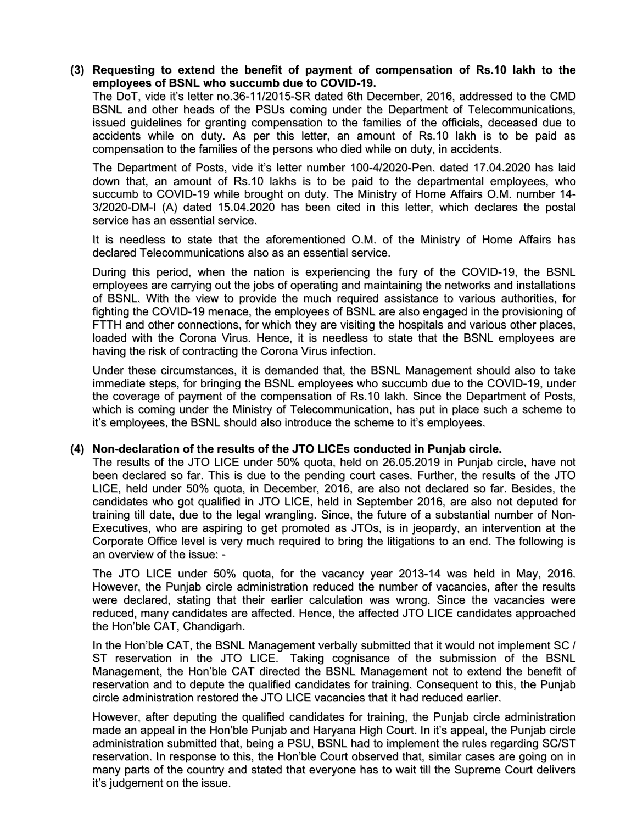## (3) Requesting to extend the benefit of payment of compensation of Rs.10 lakh to the employees of BSNL who succumb due to COVID-19.

The DoT, vide it's letter no.36-11/2015-SR dated 6th December, 2016, addressed to the CMD BSNL and other heads of the PSUs coming under the Department of Telecommunications, issued guidelines for granting compensation to the families of the officials, deceased due to accidents while on duty. As per this letter, an amount of Rs.10 lakh is to be paid as compensation to the families of the persons who died while on duty, in accidents.

The Department of Posts, vide it's letter number 100-4/2020-Pen. dated 17.04.2020 has laid down that, an amount of Rs.10 lakhs is to be paid to the departmental employees, who succumb to COVID-19 while brought on duty. The Ministry of Home Affairs O.M. number 14- 3/2020-DM-I (A) dated 15.04.2020 has been cited in this letter, which declares the postal service has an essential service.

It is needless to state that the aforementioned O.M. of the Ministry of Home Affairs has declared Telecommunications also as an essential service.

During this period, when the nation is experiencing the fury of the COVID-19, the BSNL employees are carrying out the jobs of operating and maintaining the networks and installations of BSNL. With the view to provide the much required assistance to various authorities, for fighting the COVID-19 menace, the employees of BSNL are also engaged in the provisioning of FTTH and other connections, for which they are visiting the hospitals and various other places, loaded with the Corona Virus. Hence, it is needless to state that the BSNL employees are having the risk of contracting the Corona Virus infection.

Under these circumstances, it is demanded that, the BSNL Management should also to take immediate steps, for bringing the BSNL employees who succumb due to the COVID-19, under the coverage of payment of the compensation of Rs.10 lakh. Since the Department of Posts, which is coming under the Ministry of Telecommunication, has put in place such a scheme to it's employees, the BSNL should also introduce the scheme to it's employees.

#### (4) Non-declaration of the results of the JTO LICEs conducted in Punjab circle.

The results of the JTO LICE under 50% quota, held on 26.05.2019 in Punjab circle, have not been declared so far. This is due to the pending court cases. Further, the results of the JTO LICE, held under 50% quota, in December, 2016, are also not declared so far. Besides, the candidates who got qualified in JTO LICE, held in September 2016, are also not deputed for training till date, due to the legal wrangling. Since, the future of a substantial number of Non-Executives, who are aspiring to get promoted as JTOs, is in jeopardy, an intervention at the Corporate Office level is very much required to bring the litigations to an end. The following is an overview of the issue: -

The JTO LICE under 50% quota, for the vacancy year 2013-14 was held in May, 2016. However, the Punjab circle administration reduced the number of vacancies, after the results were declared, stating that their earlier calculation was wrong. Since the vacancies were reduced, many candidates are affected. Hence, the affected JTO LICE candidates approached the Hon'ble CAT, Chandigarh.

In the Hon'ble CAT, the BSNL Management verbally submitted that it would not implement SC / ST reservation in the JTO LICE. Taking cognisance of the submission of the BSNL Management, the Hon'ble CAT directed the BSNL Management not to extend the benefit of reservation and to depute the qualified candidates for training. Consequent to this, the Punjab circle administration restored the JTO LICE vacancies that it had reduced earlier.

However, after deputing the qualified candidates for training, the Punjab circle administration made an appeal in the Hon'ble Punjab and Haryana High Court. In it's appeal, the Punjab circle administration submitted that, being a PSU, BSNL had to implement the rules regarding SC/ST reservation. In response to this, the Hon'ble Court observed that, similar cases are going on in many parts of the country and stated that everyone has to wait till the Supreme Court delivers it's judgement on the issue.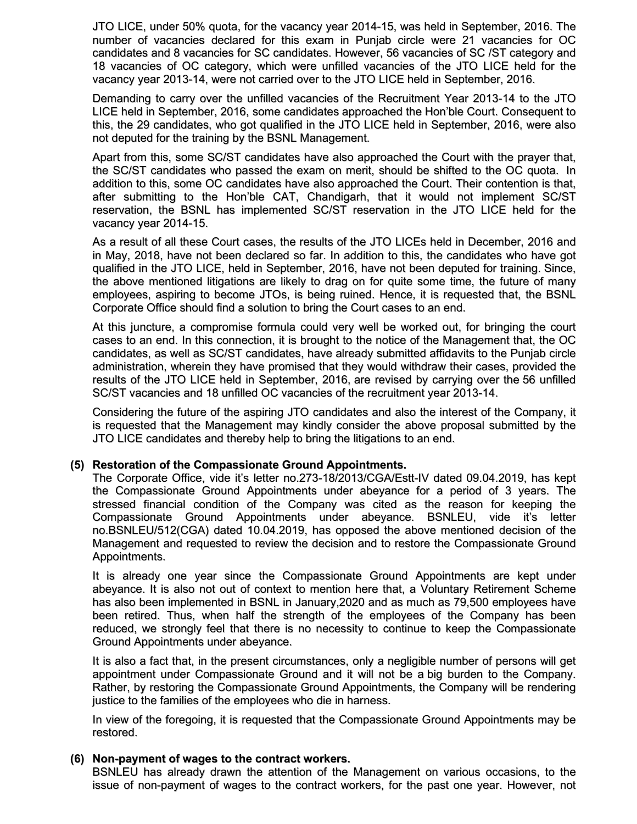JTO LICE, under 50% quota, for the vacancy year 2014-15, was held in September, 2016. The number of vacancies declared for this exam in Punjab circle were 21 vacancies for OC candidates and 8 vacancies for SC candidates. However, 56 vacancies of SC /ST category and 18 vacancies of OC category, which were unfilled vacancies of the JTO LICE held for the vacancy year 2013-14, were not carried over to the JTO LICE held in September, 2016.

Demanding to carry over the unfilled vacancies of the Recruitment Year 2013-14 to the JTO LICE held in September, 2016, some candidates approached the Hon'ble Court. Consequent to this, the 29 candidates, who got qualified in the JTO LICE held in September, 2016, were also not deputed for the training by the BSNL Management.

Apart from this, some SC/ST candidates have also approached the Court with the prayer that, the SC/ST candidates who passed the exam on merit, should be shifted to the OC quota. In addition to this, some OC candidates have also approached the Court. Their contention is that, after submitting to the Hon'ble CAT, Chandigarh, that it would not implement SC/ST reservation, the BSNL has implemented SC/ST reservation in the JTO LICE held for the vacancy year 2014-15.

As a result of all these Court cases, the results of the JTO LICEs held in December, 2016 and in May, 2018, have not been declared so far. In addition to this, the candidates who have got qualified in the JTO LICE, held in September, 2016, have not been deputed for training. Since, the above mentioned litigations are likely to drag on for quite some time, the future of many employees, aspiring to become JTOs, is being ruined. Hence, it is requested that, the BSNL Corporate Office should find a solution to bring the Court cases to an end.

At this juncture, a compromise formula could very well be worked out, for bringing the court cases to an end. In this connection, it is brought to the notice of the Management that, the OC candidates, as well as SC/ST candidates, have already submitted affidavits to the Punjab circle administration, wherein they have promised that they would withdraw their cases, provided the results of the JTO LICE held in September, 2016, are revised by carrying over the 56 unfilled SC/ST vacancies and 18 unfilled OC vacancies of the recruitment year 2013-14.

Considering the future of the aspiring JTO candidates and also the interest of the Company, it is requested that the Management may kindly consider the above proposal submitted by the JTO LICE candidates and thereby help to bring the litigations to an end.

## (5) Restoration of the Compassionate Ground Appointments.

The Corporate Office, vide it's letter no.273-18/2013/CGA/Estt-IV dated 09.04.2019, has kept the Compassionate Ground Appointments under abeyance for a period of 3 years. The stressed financial condition of the Company was cited as the reason for keeping the Compassionate Ground Appointments under abeyance. BSNLEU, vide it's letter no.BSNLEU/512(CGA) dated 10.04.2019, has opposed the above mentioned decision of the Management and requested to review the decision and to restore the Compassionate Ground Appointments.

It is already one year since the Compassionate Ground Appointments are kept under abeyance. It is also not out of context to mention here that, a Voluntary Retirement Scheme has also been implemented in BSNL in January,2020 and as much as 79,500 employees have been retired. Thus, when half the strength of the employees of the Company has been reduced, we strongly feel that there is no necessity to continue to keep the Compassionate Ground Appointments under abeyance.

It is also a fact that, in the present circumstances, only a negligible number of persons will get appointment under Compassionate Ground and it will not be a big burden to the Company. Rather, by restoring the Compassionate Ground Appointments, the Company will be rendering justice to the families of the employees who die in harness.

In view of the foregoing, it is requested that the Compassionate Ground Appointments may be restored.

#### (6) Non-payment of wages to the contract workers.

BSNLEU has already drawn the attention of the Management on various occasions, to the issue of non-payment of wages to the contract workers, for the past one year. However, not